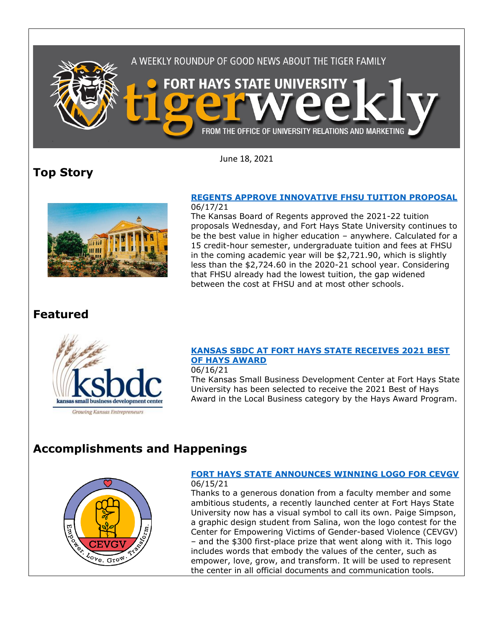

June 18, 2021

# **Top Story**



#### **[REGENTS APPROVE INNOVATIVE](https://www.fhsu.edu/news/2021/06/regents-approve-innovative-fhsu-tuition-proposal) FHSU TUITION PROPOSAL** 06/17/21

The Kansas Board of Regents approved the 2021-22 tuition proposals Wednesday, and Fort Hays State University continues to be the best value in higher education – anywhere. Calculated for a 15 credit-hour semester, undergraduate tuition and fees at FHSU in the coming academic year will be \$2,721.90, which is slightly less than the \$2,724.60 in the 2020-21 school year. Considering that FHSU already had the lowest tuition, the gap widened between the cost at FHSU and at most other schools.

## **Featured**



### **[KANSAS SBDC AT FORT HAYS STATE RECEIVES 2021 BEST](https://www.fhsu.edu/news/2021/06/kansas-sbdc-at-fort-hays-state-receives-2021-best-of-hays-award)  [OF HAYS AWARD](https://www.fhsu.edu/news/2021/06/kansas-sbdc-at-fort-hays-state-receives-2021-best-of-hays-award)**

06/16/21

The Kansas Small Business Development Center at Fort Hays State University has been selected to receive the 2021 Best of Hays Award in the Local Business category by the Hays Award Program.

# **Accomplishments and Happenings**



#### **[FORT HAYS STATE ANNOUNCES WINNING LOGO FOR CEVGV](https://www.fhsu.edu/news/2021/06/fort-hays-state-announces-winning-logo-for-cevgv)** 06/15/21

Thanks to a generous donation from a faculty member and some ambitious students, a recently launched center at Fort Hays State University now has a visual symbol to call its own. Paige Simpson, a graphic design student from Salina, won the logo contest for the Center for Empowering Victims of Gender-based Violence (CEVGV) – and the \$300 first-place prize that went along with it. This logo includes words that embody the values of the center, such as empower, love, grow, and transform. It will be used to represent the center in all official documents and communication tools.